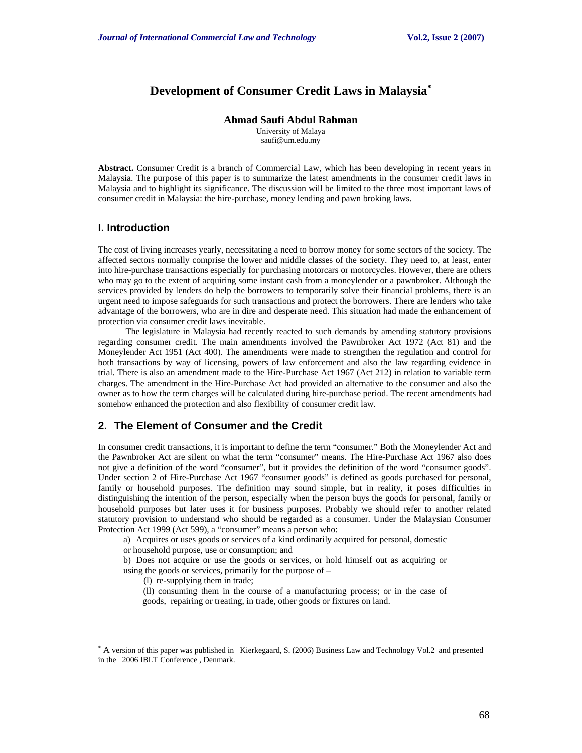# **Development of Consumer Credit Laws in Malaysia**<sup>∗</sup>

**Ahmad Saufi Abdul Rahman** 

University of Malaya saufi@um.edu.my

**Abstract.** Consumer Credit is a branch of Commercial Law, which has been developing in recent years in Malaysia. The purpose of this paper is to summarize the latest amendments in the consumer credit laws in Malaysia and to highlight its significance. The discussion will be limited to the three most important laws of consumer credit in Malaysia: the hire-purchase, money lending and pawn broking laws.

#### **I. Introduction**

The cost of living increases yearly, necessitating a need to borrow money for some sectors of the society. The affected sectors normally comprise the lower and middle classes of the society. They need to, at least, enter into hire-purchase transactions especially for purchasing motorcars or motorcycles. However, there are others who may go to the extent of acquiring some instant cash from a moneylender or a pawnbroker. Although the services provided by lenders do help the borrowers to temporarily solve their financial problems, there is an urgent need to impose safeguards for such transactions and protect the borrowers. There are lenders who take advantage of the borrowers, who are in dire and desperate need. This situation had made the enhancement of protection via consumer credit laws inevitable.

 The legislature in Malaysia had recently reacted to such demands by amending statutory provisions regarding consumer credit. The main amendments involved the Pawnbroker Act 1972 (Act 81) and the Moneylender Act 1951 (Act 400). The amendments were made to strengthen the regulation and control for both transactions by way of licensing, powers of law enforcement and also the law regarding evidence in trial. There is also an amendment made to the Hire-Purchase Act 1967 (Act 212) in relation to variable term charges. The amendment in the Hire-Purchase Act had provided an alternative to the consumer and also the owner as to how the term charges will be calculated during hire-purchase period. The recent amendments had somehow enhanced the protection and also flexibility of consumer credit law.

# **2. The Element of Consumer and the Credit**

In consumer credit transactions, it is important to define the term "consumer." Both the Moneylender Act and the Pawnbroker Act are silent on what the term "consumer" means. The Hire-Purchase Act 1967 also does not give a definition of the word "consumer", but it provides the definition of the word "consumer goods". Under section 2 of Hire-Purchase Act 1967 "consumer goods" is defined as goods purchased for personal, family or household purposes. The definition may sound simple, but in reality, it poses difficulties in distinguishing the intention of the person, especially when the person buys the goods for personal, family or household purposes but later uses it for business purposes. Probably we should refer to another related statutory provision to understand who should be regarded as a consumer. Under the Malaysian Consumer Protection Act 1999 (Act 599), a "consumer" means a person who:

a) Acquires or uses goods or services of a kind ordinarily acquired for personal, domestic

or household purpose, use or consumption; and

b) Does not acquire or use the goods or services, or hold himself out as acquiring or using the goods or services, primarily for the purpose of –

(l) re-supplying them in trade;

l

 (ll) consuming them in the course of a manufacturing process; or in the case of goods, repairing or treating, in trade, other goods or fixtures on land.

<sup>∗</sup> A version of this paper was published in Kierkegaard, S. (2006) Business Law and Technology Vol.2 and presented in the 2006 IBLT Conference , Denmark.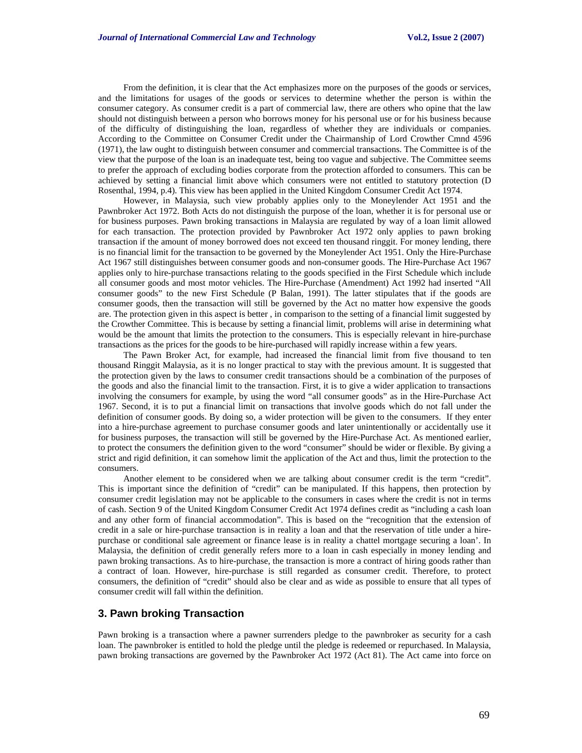From the definition, it is clear that the Act emphasizes more on the purposes of the goods or services, and the limitations for usages of the goods or services to determine whether the person is within the consumer category. As consumer credit is a part of commercial law, there are others who opine that the law should not distinguish between a person who borrows money for his personal use or for his business because of the difficulty of distinguishing the loan, regardless of whether they are individuals or companies. According to the Committee on Consumer Credit under the Chairmanship of Lord Crowther Cmnd 4596 (1971), the law ought to distinguish between consumer and commercial transactions. The Committee is of the view that the purpose of the loan is an inadequate test, being too vague and subjective. The Committee seems to prefer the approach of excluding bodies corporate from the protection afforded to consumers. This can be achieved by setting a financial limit above which consumers were not entitled to statutory protection (D Rosenthal, 1994, p.4). This view has been applied in the United Kingdom Consumer Credit Act 1974.

However, in Malaysia, such view probably applies only to the Moneylender Act 1951 and the Pawnbroker Act 1972. Both Acts do not distinguish the purpose of the loan, whether it is for personal use or for business purposes. Pawn broking transactions in Malaysia are regulated by way of a loan limit allowed for each transaction. The protection provided by Pawnbroker Act 1972 only applies to pawn broking transaction if the amount of money borrowed does not exceed ten thousand ringgit. For money lending, there is no financial limit for the transaction to be governed by the Moneylender Act 1951. Only the Hire-Purchase Act 1967 still distinguishes between consumer goods and non-consumer goods. The Hire-Purchase Act 1967 applies only to hire-purchase transactions relating to the goods specified in the First Schedule which include all consumer goods and most motor vehicles. The Hire-Purchase (Amendment) Act 1992 had inserted "All consumer goods" to the new First Schedule (P Balan, 1991). The latter stipulates that if the goods are consumer goods, then the transaction will still be governed by the Act no matter how expensive the goods are. The protection given in this aspect is better , in comparison to the setting of a financial limit suggested by the Crowther Committee. This is because by setting a financial limit, problems will arise in determining what would be the amount that limits the protection to the consumers. This is especially relevant in hire-purchase transactions as the prices for the goods to be hire-purchased will rapidly increase within a few years.

The Pawn Broker Act, for example, had increased the financial limit from five thousand to ten thousand Ringgit Malaysia, as it is no longer practical to stay with the previous amount. It is suggested that the protection given by the laws to consumer credit transactions should be a combination of the purposes of the goods and also the financial limit to the transaction. First, it is to give a wider application to transactions involving the consumers for example, by using the word "all consumer goods" as in the Hire-Purchase Act 1967. Second, it is to put a financial limit on transactions that involve goods which do not fall under the definition of consumer goods. By doing so, a wider protection will be given to the consumers. If they enter into a hire-purchase agreement to purchase consumer goods and later unintentionally or accidentally use it for business purposes, the transaction will still be governed by the Hire-Purchase Act. As mentioned earlier, to protect the consumers the definition given to the word "consumer" should be wider or flexible. By giving a strict and rigid definition, it can somehow limit the application of the Act and thus, limit the protection to the consumers.

Another element to be considered when we are talking about consumer credit is the term "credit". This is important since the definition of "credit" can be manipulated. If this happens, then protection by consumer credit legislation may not be applicable to the consumers in cases where the credit is not in terms of cash. Section 9 of the United Kingdom Consumer Credit Act 1974 defines credit as "including a cash loan and any other form of financial accommodation". This is based on the "recognition that the extension of credit in a sale or hire-purchase transaction is in reality a loan and that the reservation of title under a hirepurchase or conditional sale agreement or finance lease is in reality a chattel mortgage securing a loan'. In Malaysia, the definition of credit generally refers more to a loan in cash especially in money lending and pawn broking transactions. As to hire-purchase, the transaction is more a contract of hiring goods rather than a contract of loan. However, hire-purchase is still regarded as consumer credit. Therefore, to protect consumers, the definition of "credit" should also be clear and as wide as possible to ensure that all types of consumer credit will fall within the definition.

### **3. Pawn broking Transaction**

Pawn broking is a transaction where a pawner surrenders pledge to the pawnbroker as security for a cash loan. The pawnbroker is entitled to hold the pledge until the pledge is redeemed or repurchased. In Malaysia, pawn broking transactions are governed by the Pawnbroker Act 1972 (Act 81). The Act came into force on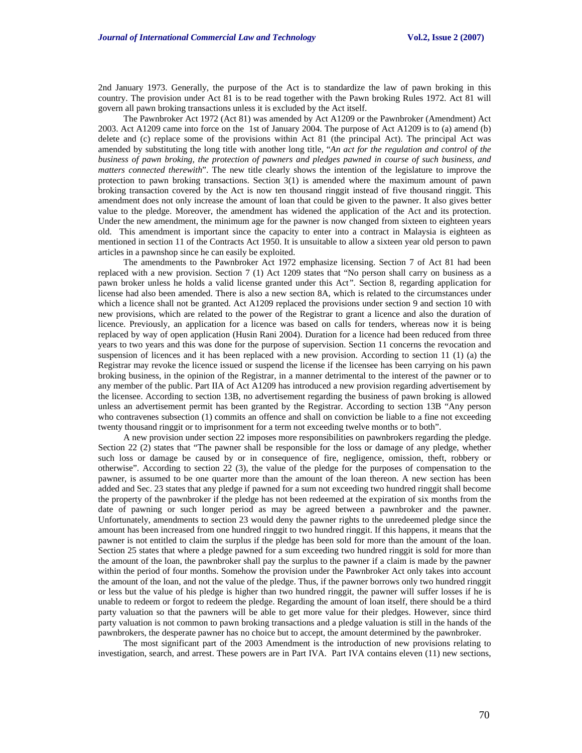2nd January 1973. Generally, the purpose of the Act is to standardize the law of pawn broking in this country. The provision under Act 81 is to be read together with the Pawn broking Rules 1972. Act 81 will govern all pawn broking transactions unless it is excluded by the Act itself.

The Pawnbroker Act 1972 (Act 81) was amended by Act A1209 or the Pawnbroker (Amendment) Act 2003. Act A1209 came into force on the 1st of January 2004. The purpose of Act A1209 is to (a) amend (b) delete and (c) replace some of the provisions within Act 81 (the principal Act). The principal Act was amended by substituting the long title with another long title, "*An act for the regulation and control of the business of pawn broking, the protection of pawners and pledges pawned in course of such business, and matters connected therewith*". The new title clearly shows the intention of the legislature to improve the protection to pawn broking transactions. Section 3(1) is amended where the maximum amount of pawn broking transaction covered by the Act is now ten thousand ringgit instead of five thousand ringgit. This amendment does not only increase the amount of loan that could be given to the pawner. It also gives better value to the pledge. Moreover, the amendment has widened the application of the Act and its protection. Under the new amendment, the minimum age for the pawner is now changed from sixteen to eighteen years old. This amendment is important since the capacity to enter into a contract in Malaysia is eighteen as mentioned in section 11 of the Contracts Act 1950. It is unsuitable to allow a sixteen year old person to pawn articles in a pawnshop since he can easily be exploited.

The amendments to the Pawnbroker Act 1972 emphasize licensing. Section 7 of Act 81 had been replaced with a new provision. Section 7 (1) Act 1209 states that "No person shall carry on business as a pawn broker unless he holds a valid license granted under this Act*".* Section 8, regarding application for license had also been amended. There is also a new section 8A, which is related to the circumstances under which a licence shall not be granted. Act A1209 replaced the provisions under section 9 and section 10 with new provisions, which are related to the power of the Registrar to grant a licence and also the duration of licence. Previously, an application for a licence was based on calls for tenders, whereas now it is being replaced by way of open application (Husin Rani 2004). Duration for a licence had been reduced from three years to two years and this was done for the purpose of supervision. Section 11 concerns the revocation and suspension of licences and it has been replaced with a new provision. According to section 11 (1) (a) the Registrar may revoke the licence issued or suspend the license if the licensee has been carrying on his pawn broking business, in the opinion of the Registrar, in a manner detrimental to the interest of the pawner or to any member of the public. Part IIA of Act A1209 has introduced a new provision regarding advertisement by the licensee. According to section 13B, no advertisement regarding the business of pawn broking is allowed unless an advertisement permit has been granted by the Registrar. According to section 13B "Any person who contravenes subsection (1) commits an offence and shall on conviction be liable to a fine not exceeding twenty thousand ringgit or to imprisonment for a term not exceeding twelve months or to both".

A new provision under section 22 imposes more responsibilities on pawnbrokers regarding the pledge. Section 22 (2) states that "The pawner shall be responsible for the loss or damage of any pledge, whether such loss or damage be caused by or in consequence of fire, negligence, omission, theft, robbery or otherwise". According to section 22 (3), the value of the pledge for the purposes of compensation to the pawner, is assumed to be one quarter more than the amount of the loan thereon. A new section has been added and Sec. 23 states that any pledge if pawned for a sum not exceeding two hundred ringgit shall become the property of the pawnbroker if the pledge has not been redeemed at the expiration of six months from the date of pawning or such longer period as may be agreed between a pawnbroker and the pawner. Unfortunately, amendments to section 23 would deny the pawner rights to the unredeemed pledge since the amount has been increased from one hundred ringgit to two hundred ringgit. If this happens, it means that the pawner is not entitled to claim the surplus if the pledge has been sold for more than the amount of the loan. Section 25 states that where a pledge pawned for a sum exceeding two hundred ringgit is sold for more than the amount of the loan, the pawnbroker shall pay the surplus to the pawner if a claim is made by the pawner within the period of four months. Somehow the provision under the Pawnbroker Act only takes into account the amount of the loan, and not the value of the pledge. Thus, if the pawner borrows only two hundred ringgit or less but the value of his pledge is higher than two hundred ringgit, the pawner will suffer losses if he is unable to redeem or forgot to redeem the pledge. Regarding the amount of loan itself, there should be a third party valuation so that the pawners will be able to get more value for their pledges. However, since third party valuation is not common to pawn broking transactions and a pledge valuation is still in the hands of the pawnbrokers, the desperate pawner has no choice but to accept, the amount determined by the pawnbroker.

The most significant part of the 2003 Amendment is the introduction of new provisions relating to investigation, search, and arrest. These powers are in Part IVA. Part IVA contains eleven (11) new sections,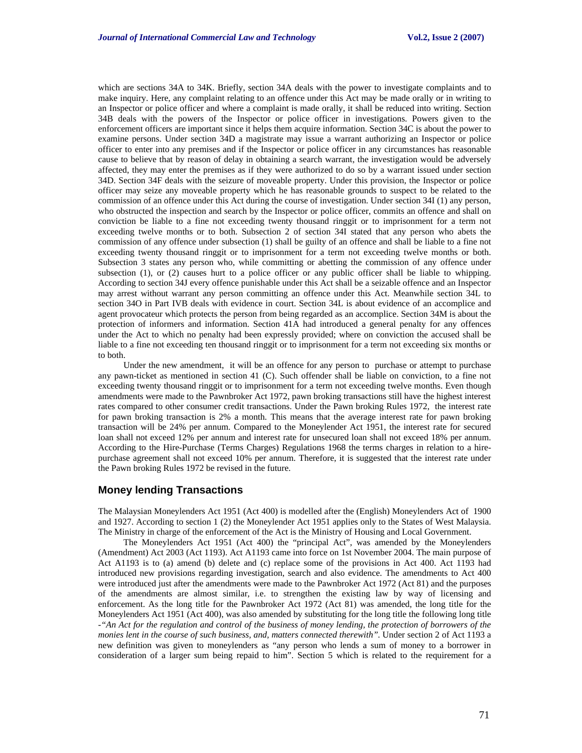which are sections 34A to 34K. Briefly, section 34A deals with the power to investigate complaints and to make inquiry. Here, any complaint relating to an offence under this Act may be made orally or in writing to an Inspector or police officer and where a complaint is made orally, it shall be reduced into writing. Section 34B deals with the powers of the Inspector or police officer in investigations. Powers given to the enforcement officers are important since it helps them acquire information. Section 34C is about the power to examine persons. Under section 34D a magistrate may issue a warrant authorizing an Inspector or police officer to enter into any premises and if the Inspector or police officer in any circumstances has reasonable cause to believe that by reason of delay in obtaining a search warrant, the investigation would be adversely affected, they may enter the premises as if they were authorized to do so by a warrant issued under section 34D. Section 34F deals with the seizure of moveable property. Under this provision, the Inspector or police officer may seize any moveable property which he has reasonable grounds to suspect to be related to the commission of an offence under this Act during the course of investigation. Under section 34I (1) any person, who obstructed the inspection and search by the Inspector or police officer, commits an offence and shall on conviction be liable to a fine not exceeding twenty thousand ringgit or to imprisonment for a term not exceeding twelve months or to both. Subsection 2 of section 34I stated that any person who abets the commission of any offence under subsection (1) shall be guilty of an offence and shall be liable to a fine not exceeding twenty thousand ringgit or to imprisonment for a term not exceeding twelve months or both. Subsection 3 states any person who, while committing or abetting the commission of any offence under subsection (1), or (2) causes hurt to a police officer or any public officer shall be liable to whipping. According to section 34J every offence punishable under this Act shall be a seizable offence and an Inspector may arrest without warrant any person committing an offence under this Act. Meanwhile section 34L to section 34O in Part IVB deals with evidence in court. Section 34L is about evidence of an accomplice and agent provocateur which protects the person from being regarded as an accomplice. Section 34M is about the protection of informers and information. Section 41A had introduced a general penalty for any offences under the Act to which no penalty had been expressly provided; where on conviction the accused shall be liable to a fine not exceeding ten thousand ringgit or to imprisonment for a term not exceeding six months or to both.

Under the new amendment, it will be an offence for any person to purchase or attempt to purchase any pawn-ticket as mentioned in section 41 (C). Such offender shall be liable on conviction, to a fine not exceeding twenty thousand ringgit or to imprisonment for a term not exceeding twelve months. Even though amendments were made to the Pawnbroker Act 1972, pawn broking transactions still have the highest interest rates compared to other consumer credit transactions. Under the Pawn broking Rules 1972, the interest rate for pawn broking transaction is 2% a month. This means that the average interest rate for pawn broking transaction will be 24% per annum. Compared to the Moneylender Act 1951, the interest rate for secured loan shall not exceed 12% per annum and interest rate for unsecured loan shall not exceed 18% per annum. According to the Hire-Purchase (Terms Charges) Regulations 1968 the terms charges in relation to a hirepurchase agreement shall not exceed 10% per annum. Therefore, it is suggested that the interest rate under the Pawn broking Rules 1972 be revised in the future.

#### **Money lending Transactions**

The Malaysian Moneylenders Act 1951 (Act 400) is modelled after the (English) Moneylenders Act of 1900 and 1927. According to section 1 (2) the Moneylender Act 1951 applies only to the States of West Malaysia. The Ministry in charge of the enforcement of the Act is the Ministry of Housing and Local Government.

The Moneylenders Act 1951 (Act 400) the "principal Act", was amended by the Moneylenders (Amendment) Act 2003 (Act 1193). Act A1193 came into force on 1st November 2004. The main purpose of Act A1193 is to (a) amend (b) delete and (c) replace some of the provisions in Act 400. Act 1193 had introduced new provisions regarding investigation, search and also evidence. The amendments to Act 400 were introduced just after the amendments were made to the Pawnbroker Act 1972 (Act 81) and the purposes of the amendments are almost similar, i.e. to strengthen the existing law by way of licensing and enforcement. As the long title for the Pawnbroker Act 1972 (Act 81) was amended, the long title for the Moneylenders Act 1951 (Act 400), was also amended by substituting for the long title the following long title *-"An Act for the regulation and control of the business of money lending, the protection of borrowers of the monies lent in the course of such business, and, matters connected therewith*". Under section 2 of Act 1193 a new definition was given to moneylenders as "any person who lends a sum of money to a borrower in consideration of a larger sum being repaid to him". Section 5 which is related to the requirement for a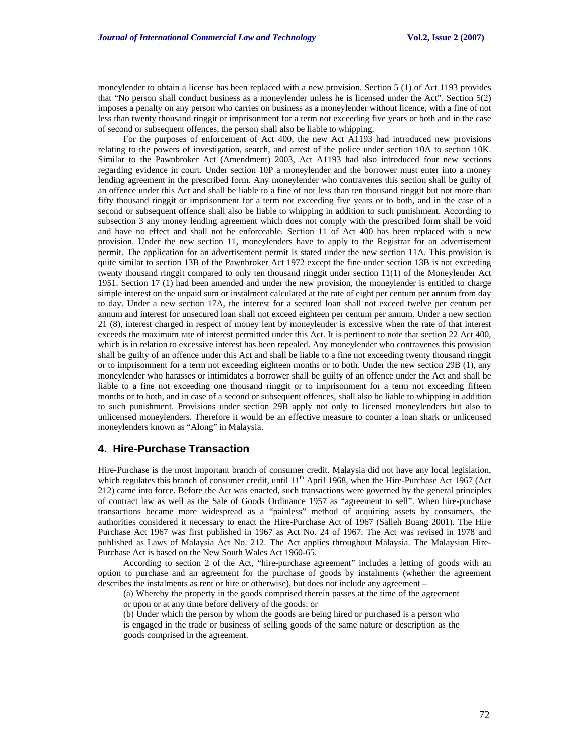moneylender to obtain a license has been replaced with a new provision. Section 5 (1) of Act 1193 provides that "No person shall conduct business as a moneylender unless he is licensed under the Act". Section 5(2) imposes a penalty on any person who carries on business as a moneylender without licence, with a fine of not less than twenty thousand ringgit or imprisonment for a term not exceeding five years or both and in the case of second or subsequent offences, the person shall also be liable to whipping.

For the purposes of enforcement of Act 400, the new Act A1193 had introduced new provisions relating to the powers of investigation, search, and arrest of the police under section 10A to section 10K. Similar to the Pawnbroker Act (Amendment) 2003, Act A1193 had also introduced four new sections regarding evidence in court. Under section 10P a moneylender and the borrower must enter into a money lending agreement in the prescribed form. Any moneylender who contravenes this section shall be guilty of an offence under this Act and shall be liable to a fine of not less than ten thousand ringgit but not more than fifty thousand ringgit or imprisonment for a term not exceeding five years or to both, and in the case of a second or subsequent offence shall also be liable to whipping in addition to such punishment. According to subsection 3 any money lending agreement which does not comply with the prescribed form shall be void and have no effect and shall not be enforceable. Section 11 of Act 400 has been replaced with a new provision. Under the new section 11, moneylenders have to apply to the Registrar for an advertisement permit. The application for an advertisement permit is stated under the new section 11A. This provision is quite similar to section 13B of the Pawnbroker Act 1972 except the fine under section 13B is not exceeding twenty thousand ringgit compared to only ten thousand ringgit under section 11(1) of the Moneylender Act 1951. Section 17 (1) had been amended and under the new provision, the moneylender is entitled to charge simple interest on the unpaid sum or instalment calculated at the rate of eight per centum per annum from day to day. Under a new section 17A, the interest for a secured loan shall not exceed twelve per centum per annum and interest for unsecured loan shall not exceed eighteen per centum per annum. Under a new section 21 (8), interest charged in respect of money lent by moneylender is excessive when the rate of that interest exceeds the maximum rate of interest permitted under this Act. It is pertinent to note that section 22 Act 400, which is in relation to excessive interest has been repealed. Any moneylender who contravenes this provision shall be guilty of an offence under this Act and shall be liable to a fine not exceeding twenty thousand ringgit or to imprisonment for a term not exceeding eighteen months or to both. Under the new section 29B (1), any moneylender who harasses or intimidates a borrower shall be guilty of an offence under the Act and shall be liable to a fine not exceeding one thousand ringgit or to imprisonment for a term not exceeding fifteen months or to both, and in case of a second or subsequent offences, shall also be liable to whipping in addition to such punishment. Provisions under section 29B apply not only to licensed moneylenders but also to unlicensed moneylenders. Therefore it would be an effective measure to counter a loan shark or unlicensed moneylenders known as "Along" in Malaysia.

## **4. Hire-Purchase Transaction**

Hire-Purchase is the most important branch of consumer credit. Malaysia did not have any local legislation, which regulates this branch of consumer credit, until  $11<sup>th</sup>$  April 1968, when the Hire-Purchase Act 1967 (Act 212) came into force. Before the Act was enacted, such transactions were governed by the general principles of contract law as well as the Sale of Goods Ordinance 1957 as "agreement to sell". When hire-purchase transactions became more widespread as a "painless" method of acquiring assets by consumers, the authorities considered it necessary to enact the Hire-Purchase Act of 1967 (Salleh Buang 2001). The Hire Purchase Act 1967 was first published in 1967 as Act No. 24 of 1967. The Act was revised in 1978 and published as Laws of Malaysia Act No. 212. The Act applies throughout Malaysia. The Malaysian Hire-Purchase Act is based on the New South Wales Act 1960-65.

According to section 2 of the Act, "hire-purchase agreement" includes a letting of goods with an option to purchase and an agreement for the purchase of goods by instalments (whether the agreement describes the instalments as rent or hire or otherwise), but does not include any agreement –

(a) Whereby the property in the goods comprised therein passes at the time of the agreement or upon or at any time before delivery of the goods: or

(b) Under which the person by whom the goods are being hired or purchased is a person who is engaged in the trade or business of selling goods of the same nature or description as the goods comprised in the agreement.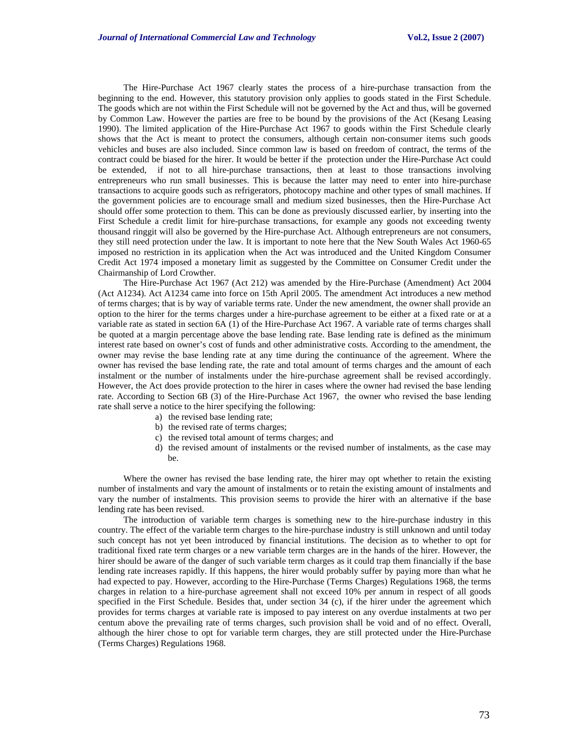The Hire-Purchase Act 1967 clearly states the process of a hire-purchase transaction from the beginning to the end. However, this statutory provision only applies to goods stated in the First Schedule. The goods which are not within the First Schedule will not be governed by the Act and thus, will be governed by Common Law. However the parties are free to be bound by the provisions of the Act (Kesang Leasing 1990). The limited application of the Hire-Purchase Act 1967 to goods within the First Schedule clearly shows that the Act is meant to protect the consumers, although certain non-consumer items such goods vehicles and buses are also included. Since common law is based on freedom of contract, the terms of the contract could be biased for the hirer. It would be better if the protection under the Hire-Purchase Act could be extended, if not to all hire-purchase transactions, then at least to those transactions involving entrepreneurs who run small businesses. This is because the latter may need to enter into hire-purchase transactions to acquire goods such as refrigerators, photocopy machine and other types of small machines. If the government policies are to encourage small and medium sized businesses, then the Hire-Purchase Act should offer some protection to them. This can be done as previously discussed earlier, by inserting into the First Schedule a credit limit for hire-purchase transactions, for example any goods not exceeding twenty thousand ringgit will also be governed by the Hire-purchase Act. Although entrepreneurs are not consumers, they still need protection under the law. It is important to note here that the New South Wales Act 1960-65 imposed no restriction in its application when the Act was introduced and the United Kingdom Consumer Credit Act 1974 imposed a monetary limit as suggested by the Committee on Consumer Credit under the Chairmanship of Lord Crowther.

The Hire-Purchase Act 1967 (Act 212) was amended by the Hire-Purchase (Amendment) Act 2004 (Act A1234). Act A1234 came into force on 15th April 2005. The amendment Act introduces a new method of terms charges; that is by way of variable terms rate. Under the new amendment, the owner shall provide an option to the hirer for the terms charges under a hire-purchase agreement to be either at a fixed rate or at a variable rate as stated in section 6A (1) of the Hire-Purchase Act 1967. A variable rate of terms charges shall be quoted at a margin percentage above the base lending rate. Base lending rate is defined as the minimum interest rate based on owner's cost of funds and other administrative costs. According to the amendment, the owner may revise the base lending rate at any time during the continuance of the agreement. Where the owner has revised the base lending rate, the rate and total amount of terms charges and the amount of each instalment or the number of instalments under the hire-purchase agreement shall be revised accordingly. However, the Act does provide protection to the hirer in cases where the owner had revised the base lending rate. According to Section 6B (3) of the Hire-Purchase Act 1967, the owner who revised the base lending rate shall serve a notice to the hirer specifying the following:

- a) the revised base lending rate;
- b) the revised rate of terms charges;
- c) the revised total amount of terms charges; and
- d) the revised amount of instalments or the revised number of instalments, as the case may be.

Where the owner has revised the base lending rate, the hirer may opt whether to retain the existing number of instalments and vary the amount of instalments or to retain the existing amount of instalments and vary the number of instalments. This provision seems to provide the hirer with an alternative if the base lending rate has been revised.

The introduction of variable term charges is something new to the hire-purchase industry in this country. The effect of the variable term charges to the hire-purchase industry is still unknown and until today such concept has not yet been introduced by financial institutions. The decision as to whether to opt for traditional fixed rate term charges or a new variable term charges are in the hands of the hirer. However, the hirer should be aware of the danger of such variable term charges as it could trap them financially if the base lending rate increases rapidly. If this happens, the hirer would probably suffer by paying more than what he had expected to pay. However, according to the Hire-Purchase (Terms Charges) Regulations 1968, the terms charges in relation to a hire-purchase agreement shall not exceed 10% per annum in respect of all goods specified in the First Schedule. Besides that, under section 34 (c), if the hirer under the agreement which provides for terms charges at variable rate is imposed to pay interest on any overdue instalments at two per centum above the prevailing rate of terms charges, such provision shall be void and of no effect. Overall, although the hirer chose to opt for variable term charges, they are still protected under the Hire-Purchase (Terms Charges) Regulations 1968.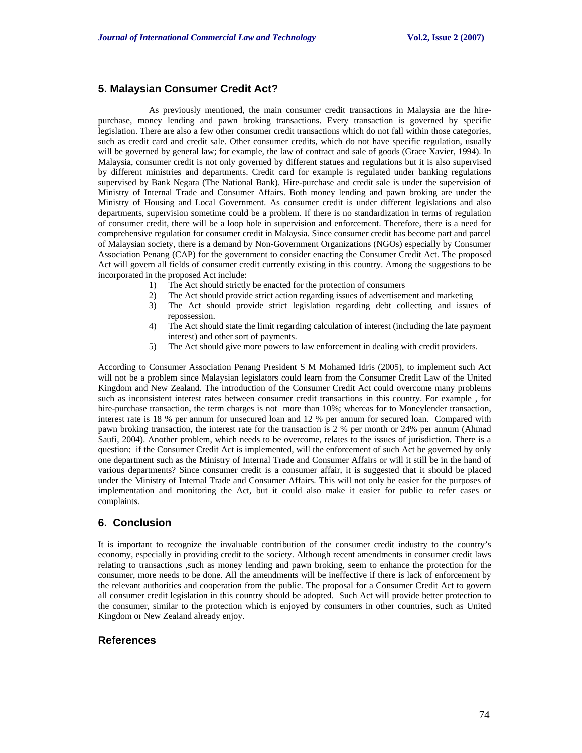# **5. Malaysian Consumer Credit Act?**

As previously mentioned, the main consumer credit transactions in Malaysia are the hirepurchase, money lending and pawn broking transactions. Every transaction is governed by specific legislation. There are also a few other consumer credit transactions which do not fall within those categories, such as credit card and credit sale. Other consumer credits, which do not have specific regulation, usually will be governed by general law; for example, the law of contract and sale of goods (Grace Xavier, 1994). In Malaysia, consumer credit is not only governed by different statues and regulations but it is also supervised by different ministries and departments. Credit card for example is regulated under banking regulations supervised by Bank Negara (The National Bank). Hire-purchase and credit sale is under the supervision of Ministry of Internal Trade and Consumer Affairs. Both money lending and pawn broking are under the Ministry of Housing and Local Government. As consumer credit is under different legislations and also departments, supervision sometime could be a problem. If there is no standardization in terms of regulation of consumer credit, there will be a loop hole in supervision and enforcement. Therefore, there is a need for comprehensive regulation for consumer credit in Malaysia. Since consumer credit has become part and parcel of Malaysian society, there is a demand by Non-Government Organizations (NGOs) especially by Consumer Association Penang (CAP) for the government to consider enacting the Consumer Credit Act. The proposed Act will govern all fields of consumer credit currently existing in this country. Among the suggestions to be incorporated in the proposed Act include:

- 1) The Act should strictly be enacted for the protection of consumers
- 2) The Act should provide strict action regarding issues of advertisement and marketing
- 3) The Act should provide strict legislation regarding debt collecting and issues of repossession.
- 4) The Act should state the limit regarding calculation of interest (including the late payment interest) and other sort of payments.
- 5) The Act should give more powers to law enforcement in dealing with credit providers.

According to Consumer Association Penang President S M Mohamed Idris (2005), to implement such Act will not be a problem since Malaysian legislators could learn from the Consumer Credit Law of the United Kingdom and New Zealand. The introduction of the Consumer Credit Act could overcome many problems such as inconsistent interest rates between consumer credit transactions in this country. For example , for hire-purchase transaction, the term charges is not more than 10%; whereas for to Moneylender transaction, interest rate is 18 % per annum for unsecured loan and 12 % per annum for secured loan. Compared with pawn broking transaction, the interest rate for the transaction is 2 % per month or 24% per annum (Ahmad Saufi, 2004). Another problem, which needs to be overcome, relates to the issues of jurisdiction. There is a question: if the Consumer Credit Act is implemented, will the enforcement of such Act be governed by only one department such as the Ministry of Internal Trade and Consumer Affairs or will it still be in the hand of various departments? Since consumer credit is a consumer affair, it is suggested that it should be placed under the Ministry of Internal Trade and Consumer Affairs. This will not only be easier for the purposes of implementation and monitoring the Act, but it could also make it easier for public to refer cases or complaints.

# **6. Conclusion**

It is important to recognize the invaluable contribution of the consumer credit industry to the country's economy, especially in providing credit to the society. Although recent amendments in consumer credit laws relating to transactions ,such as money lending and pawn broking, seem to enhance the protection for the consumer, more needs to be done. All the amendments will be ineffective if there is lack of enforcement by the relevant authorities and cooperation from the public. The proposal for a Consumer Credit Act to govern all consumer credit legislation in this country should be adopted. Such Act will provide better protection to the consumer, similar to the protection which is enjoyed by consumers in other countries, such as United Kingdom or New Zealand already enjoy.

## **References**